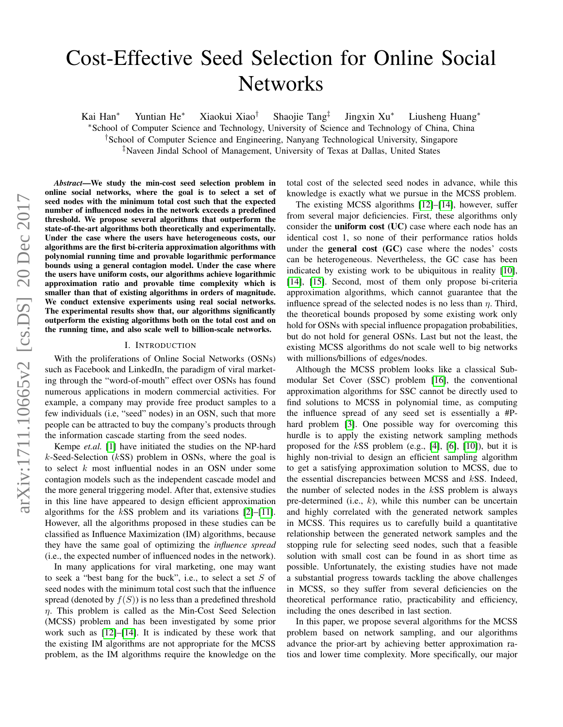# Cost-Effective Seed Selection for Online Social **Networks**

Kai Han<sup>∗</sup> Yuntian He<sup>∗</sup> Xiaokui Xiao† Shaojie Tang‡ Jingxin Xu<sup>∗</sup> Liusheng Huang<sup>∗</sup> <sup>∗</sup>School of Computer Science and Technology, University of Science and Technology of China, China †School of Computer Science and Engineering, Nanyang Technological University, Singapore ‡Naveen Jindal School of Management, University of Texas at Dallas, United States

*Abstract*—We study the min-cost seed selection problem in online social networks, where the goal is to select a set of seed nodes with the minimum total cost such that the expected number of influenced nodes in the network exceeds a predefined threshold. We propose several algorithms that outperform the state-of-the-art algorithms both theoretically and experimentally. Under the case where the users have heterogeneous costs, our algorithms are the first bi-criteria approximation algorithms with polynomial running time and provable logarithmic performance bounds using a general contagion model. Under the case where the users have uniform costs, our algorithms achieve logarithmic approximation ratio and provable time complexity which is smaller than that of existing algorithms in orders of magnitude. We conduct extensive experiments using real social networks. The experimental results show that, our algorithms significantly outperform the existing algorithms both on the total cost and on the running time, and also scale well to billion-scale networks.

#### I. INTRODUCTION

<span id="page-0-0"></span>With the proliferations of Online Social Networks (OSNs) such as Facebook and LinkedIn, the paradigm of viral marketing through the "word-of-mouth" effect over OSNs has found numerous applications in modern commercial activities. For example, a company may provide free product samples to a few individuals (i.e, "seed" nodes) in an OSN, such that more people can be attracted to buy the company's products through the information cascade starting from the seed nodes.

Kempe *et.al.* [\[1\]](#page-9-0) have initiated the studies on the NP-hard k-Seed-Selection  $(kSS)$  problem in OSNs, where the goal is to select  $k$  most influential nodes in an OSN under some contagion models such as the independent cascade model and the more general triggering model. After that, extensive studies in this line have appeared to design efficient approximation algorithms for the  $kSS$  problem and its variations  $[2]-[11]$  $[2]-[11]$  $[2]-[11]$ . However, all the algorithms proposed in these studies can be classified as Influence Maximization (IM) algorithms, because they have the same goal of optimizing the *influence spread* (i.e., the expected number of influenced nodes in the network).

In many applications for viral marketing, one may want to seek a "best bang for the buck", i.e., to select a set  $S$  of seed nodes with the minimum total cost such that the influence spread (denoted by  $f(S)$ ) is no less than a predefined threshold  $\eta$ . This problem is called as the Min-Cost Seed Selection (MCSS) problem and has been investigated by some prior work such as [\[12\]](#page-9-3)–[\[14\]](#page-9-4). It is indicated by these work that the existing IM algorithms are not appropriate for the MCSS problem, as the IM algorithms require the knowledge on the total cost of the selected seed nodes in advance, while this knowledge is exactly what we pursue in the MCSS problem.

The existing MCSS algorithms [\[12\]](#page-9-3)–[\[14\]](#page-9-4), however, suffer from several major deficiencies. First, these algorithms only consider the uniform cost (UC) case where each node has an identical cost 1, so none of their performance ratios holds under the general cost (GC) case where the nodes' costs can be heterogeneous. Nevertheless, the GC case has been indicated by existing work to be ubiquitous in reality [\[10\]](#page-9-5), [\[14\]](#page-9-4), [\[15\]](#page-9-6). Second, most of them only propose bi-criteria approximation algorithms, which cannot guarantee that the influence spread of the selected nodes is no less than  $\eta$ . Third, the theoretical bounds proposed by some existing work only hold for OSNs with special influence propagation probabilities, but do not hold for general OSNs. Last but not the least, the existing MCSS algorithms do not scale well to big networks with millions/billions of edges/nodes.

Although the MCSS problem looks like a classical Submodular Set Cover (SSC) problem [\[16\]](#page-9-7), the conventional approximation algorithms for SSC cannot be directly used to find solutions to MCSS in polynomial time, as computing the influence spread of any seed set is essentially a #P-hard problem [\[3\]](#page-9-8). One possible way for overcoming this hurdle is to apply the existing network sampling methods proposed for the  $kSS$  problem (e.g., [\[4\]](#page-9-9), [\[6\]](#page-9-10), [\[10\]](#page-9-5)), but it is highly non-trivial to design an efficient sampling algorithm to get a satisfying approximation solution to MCSS, due to the essential discrepancies between MCSS and kSS. Indeed, the number of selected nodes in the  $kSS$  problem is always pre-determined (i.e.,  $k$ ), while this number can be uncertain and highly correlated with the generated network samples in MCSS. This requires us to carefully build a quantitative relationship between the generated network samples and the stopping rule for selecting seed nodes, such that a feasible solution with small cost can be found in as short time as possible. Unfortunately, the existing studies have not made a substantial progress towards tackling the above challenges in MCSS, so they suffer from several deficiencies on the theoretical performance ratio, practicability and efficiency, including the ones described in last section.

In this paper, we propose several algorithms for the MCSS problem based on network sampling, and our algorithms advance the prior-art by achieving better approximation ratios and lower time complexity. More specifically, our major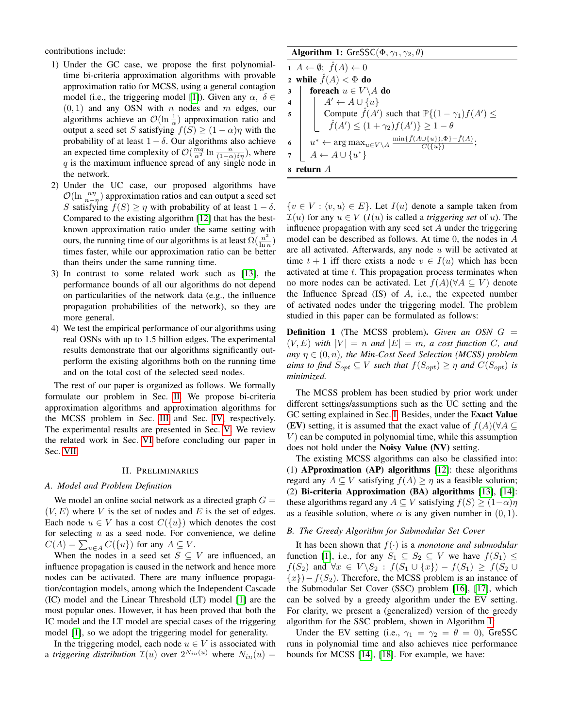contributions include:

- 1) Under the GC case, we propose the first polynomialtime bi-criteria approximation algorithms with provable approximation ratio for MCSS, using a general contagion model (i.e., the triggering model [\[1\]](#page-9-0)). Given any  $\alpha$ ,  $\delta \in$  $(0, 1)$  and any OSN with *n* nodes and *m* edges, our algorithms achieve an  $\mathcal{O}(\ln \frac{1}{\alpha})$  approximation ratio and output a seed set S satisfying  $f(S) \ge (1 - \alpha)\eta$  with the probability of at least  $1 - \delta$ . Our algorithms also achieve an expected time complexity of  $\mathcal{O}(\frac{mq}{\alpha^2} \ln \frac{n}{(1-\alpha)\delta\eta})$ , where  $q$  is the maximum influence spread of any single node in the network.
- 2) Under the UC case, our proposed algorithms have  $\mathcal{O}(\ln \frac{n\eta}{n-\eta})$  approximation ratios and can output a seed set S satisfying  $f(S) \ge \eta$  with probability of at least  $1 - \delta$ . Compared to the existing algorithm [\[12\]](#page-9-3) that has the bestknown approximation ratio under the same setting with ours, the running time of our algorithms is at least  $\Omega(\frac{n^2}{\ln n})$  $\frac{n^2}{\ln n})$ times faster, while our approximation ratio can be better than theirs under the same running time.
- 3) In contrast to some related work such as [\[13\]](#page-9-11), the performance bounds of all our algorithms do not depend on particularities of the network data (e.g., the influence propagation probabilities of the network), so they are more general.
- 4) We test the empirical performance of our algorithms using real OSNs with up to 1.5 billion edges. The experimental results demonstrate that our algorithms significantly outperform the existing algorithms both on the running time and on the total cost of the selected seed nodes.

The rest of our paper is organized as follows. We formally formulate our problem in Sec. [II.](#page-1-0) We propose bi-criteria approximation algorithms and approximation algorithms for the MCSS problem in Sec. [III](#page-2-0) and Sec. [IV,](#page-4-0) respectively. The experimental results are presented in Sec. [V.](#page-7-0) We review the related work in Sec. [VI](#page-8-0) before concluding our paper in Sec. [VII.](#page-9-12)

## II. PRELIMINARIES

#### <span id="page-1-0"></span>*A. Model and Problem Definition*

We model an online social network as a directed graph  $G =$  $(V, E)$  where V is the set of nodes and E is the set of edges. Each node  $u \in V$  has a cost  $C({u})$  which denotes the cost for selecting  $u$  as a seed node. For convenience, we define  $C(A) = \sum_{u \in A} C({u})$  for any  $A \subseteq V$ .

When the nodes in a seed set  $S \subseteq V$  are influenced, an influence propagation is caused in the network and hence more nodes can be activated. There are many influence propagation/contagion models, among which the Independent Cascade (IC) model and the Linear Threshold (LT) model [\[1\]](#page-9-0) are the most popular ones. However, it has been proved that both the IC model and the LT model are special cases of the triggering model [\[1\]](#page-9-0), so we adopt the triggering model for generality.

In the triggering model, each node  $u \in V$  is associated with a *triggering distribution*  $\mathcal{I}(u)$  over  $2^{N_{in}(u)}$  where  $N_{in}(u)$  =

## Algorithm 1: GreSSC( $\Phi$ ,  $\gamma_1$ ,  $\gamma_2$ ,  $\theta$ )

 $1 \ A \leftarrow \emptyset; \ \hat{f}(A) \leftarrow 0$ 2 while  $f(A) < \Phi$  do 3 foreach  $u \in V \backslash A$  do<br>4  $| A' \leftarrow A \cup \{u\}$  $A' \leftarrow A \cup \{u\}$ 5 Compute  $\hat{f}(A')$  such that  $\mathbb{P}\{(1 - \gamma_1)f(A') \leq$  $\hat{f}(A') \le (1 + \gamma_2) f(A') \ge 1 - \theta$ 6  $u^* \leftarrow \arg \max_{u \in V \setminus A} \frac{\min\{\hat{f}(A \cup \{u\}), \Phi\} - \hat{f}(A)}{C(\{u\})}$  $\frac{C(u_1, v_1 - J(A))}{C(\lbrace u \rbrace)}$ ; 7  $A \leftarrow A \cup \{u^*\}$ <sup>8</sup> return A

<span id="page-1-1"></span> $\{v \in V : \langle v, u \rangle \in E\}$ . Let  $I(u)$  denote a sample taken from  $\mathcal{I}(u)$  for any  $u \in V$  ( $I(u)$  is called a *triggering set* of u). The influence propagation with any seed set  $A$  under the triggering model can be described as follows. At time 0, the nodes in A are all activated. Afterwards, any node  $u$  will be activated at time  $t + 1$  iff there exists a node  $v \in I(u)$  which has been activated at time  $t$ . This propagation process terminates when no more nodes can be activated. Let  $f(A)(\forall A \subseteq V)$  denote the Influence Spread  $(IS)$  of  $A$ , i.e., the expected number of activated nodes under the triggering model. The problem studied in this paper can be formulated as follows:

**Definition 1** (The MCSS problem). *Given an OSN*  $G =$  $(V, E)$  *with*  $|V| = n$  *and*  $|E| = m$ *, a cost function* C*, and any*  $\eta \in (0, n)$ *, the Min-Cost Seed Selection (MCSS) problem aims to find*  $S_{opt} \subseteq V$  *such that*  $f(S_{opt}) \geq \eta$  *and*  $C(S_{opt})$  *is minimized.*

The MCSS problem has been studied by prior work under different settings/assumptions such as the UC setting and the GC setting explained in Sec. [I.](#page-0-0) Besides, under the Exact Value (EV) setting, it is assumed that the exact value of  $f(A)(\forall A \subseteq$  $V$ ) can be computed in polynomial time, while this assumption does not hold under the Noisy Value (NV) setting.

The existing MCSS algorithms can also be classified into: (1) APproximation (AP) algorithms [\[12\]](#page-9-3): these algorithms regard any  $A \subseteq V$  satisfying  $f(A) \geq \eta$  as a feasible solution; (2) Bi-criteria Approximation (BA) algorithms [\[13\]](#page-9-11), [\[14\]](#page-9-4): these algorithms regard any  $A \subseteq V$  satisfying  $f(S) \geq (1-\alpha)\eta$ as a feasible solution, where  $\alpha$  is any given number in  $(0, 1)$ .

## *B. The Greedy Algorithm for Submodular Set Cover*

It has been shown that  $f(\cdot)$  is a *monotone and submodular* function [\[1\]](#page-9-0), i.e., for any  $S_1 \subseteq S_2 \subseteq V$  we have  $f(S_1) \leq$  $f(S_2)$  and  $\forall x \in V \setminus S_2 : f(S_1 \cup \{x\}) - f(S_1) \ge f(S_2 \cup$  $\{x\}$ ) –  $f(S_2)$ . Therefore, the MCSS problem is an instance of the Submodular Set Cover (SSC) problem [\[16\]](#page-9-7), [\[17\]](#page-9-13), which can be solved by a greedy algorithm under the EV setting. For clarity, we present a (generalized) version of the greedy algorithm for the SSC problem, shown in Algorithm [1:](#page-1-1)

Under the EV setting (i.e.,  $\gamma_1 = \gamma_2 = \theta = 0$ ), GreSSC runs in polynomial time and also achieves nice performance bounds for MCSS [\[14\]](#page-9-4), [\[18\]](#page-9-14). For example, we have: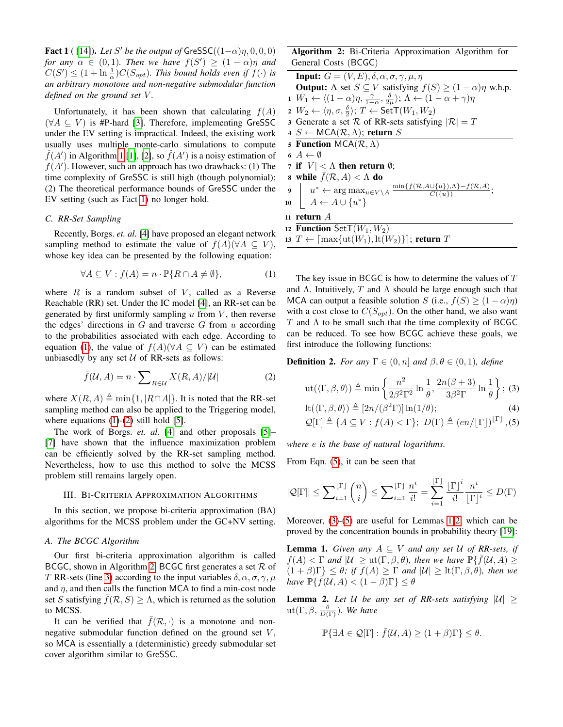<span id="page-2-1"></span>**Fact 1** ( [\[14\]](#page-9-4)). *Let* S' be the output of  $GresSC((1-\alpha)\eta, 0, 0, 0)$ *for any*  $\alpha \in (0,1)$ *. Then we have*  $f(S') \geq (1-\alpha)\eta$  *and*  $C(S') \leq (1 + \ln \frac{1}{\alpha}) C(S_{opt})$ . This bound holds even if  $f(\cdot)$  is *an arbitrary monotone and non-negative submodular function defined on the ground set* V *.*

Unfortunately, it has been shown that calculating  $f(A)$  $(\forall A \subseteq V)$  is #P-hard [\[3\]](#page-9-8). Therefore, implementing GreSSC under the EV setting is impractical. Indeed, the existing work usually uses multiple monte-carlo simulations to compute  $\hat{f}(A')$  in Algorithm [1](#page-1-1) [\[1\]](#page-9-0), [\[2\]](#page-9-1), so  $\hat{f}(A')$  is a noisy estimation of  $f(A')$ . However, such an approach has two drawbacks: (1) The time complexity of GreSSC is still high (though polynomial); (2) The theoretical performance bounds of GreSSC under the EV setting (such as Fact [1\)](#page-2-1) no longer hold.

## *C. RR-Set Sampling*

Recently, Borgs. *et. al.* [\[4\]](#page-9-9) have proposed an elegant network sampling method to estimate the value of  $f(A)(\forall A \subseteq V)$ , whose key idea can be presented by the following equation:

<span id="page-2-2"></span>
$$
\forall A \subseteq V : f(A) = n \cdot \mathbb{P}\{R \cap A \neq \emptyset\},\tag{1}
$$

where  $R$  is a random subset of  $V$ , called as a Reverse Reachable (RR) set. Under the IC model [\[4\]](#page-9-9), an RR-set can be generated by first uniformly sampling  $u$  from  $V$ , then reverse the edges' directions in  $G$  and traverse  $G$  from  $u$  according to the probabilities associated with each edge. According to equation [\(1\)](#page-2-2), the value of  $f(A)(\forall A \subseteq V)$  can be estimated unbiasedly by any set  $U$  of RR-sets as follows:

<span id="page-2-3"></span>
$$
\bar{f}(\mathcal{U}, A) = n \cdot \sum_{R \in \mathcal{U}} X(R, A) / |\mathcal{U}| \tag{2}
$$

where  $X(R, A) \triangleq \min\{1, |R \cap A|\}.$  It is noted that the RR-set sampling method can also be applied to the Triggering model, where equations  $(1)-(2)$  $(1)-(2)$  $(1)-(2)$  still hold  $[5]$ .

The work of Borgs. *et. al.* [\[4\]](#page-9-9) and other proposals [\[5\]](#page-9-15)– [\[7\]](#page-9-16) have shown that the influence maximization problem can be efficiently solved by the RR-set sampling method. Nevertheless, how to use this method to solve the MCSS problem still remains largely open.

#### <span id="page-2-0"></span>III. BI-CRITERIA APPROXIMATION ALGORITHMS

In this section, we propose bi-criteria approximation (BA) algorithms for the MCSS problem under the GC+NV setting.

## *A. The BCGC Algorithm*

Our first bi-criteria approximation algorithm is called BCGC, shown in Algorithm [2.](#page-2-4) BCGC first generates a set  $\mathcal R$  of T RR-sets (line [3\)](#page-2-5) according to the input variables  $\delta, \alpha, \sigma, \gamma, \mu$ and  $\eta$ , and then calls the function MCA to find a min-cost node set S satisfying  $\bar{f}(\mathcal{R}, S) \geq \Lambda$ , which is returned as the solution to MCSS.

It can be verified that  $\bar{f}(\mathcal{R},\cdot)$  is a monotone and nonnegative submodular function defined on the ground set  $V$ , so MCA is essentially a (deterministic) greedy submodular set cover algorithm similar to GreSSC.

Algorithm 2: Bi-Criteria Approximation Algorithm for General Costs (BCGC)

<span id="page-2-10"></span><span id="page-2-9"></span><span id="page-2-5"></span>**Input:**  $G = (V, E), \delta, \alpha, \sigma, \gamma, \mu, \eta$ **Output:** A set  $S \subseteq V$  satisfying  $f(S) \geq (1 - \alpha)\eta$  w.h.p.  $1 W_1 \leftarrow \langle (1-\alpha)\eta, \frac{\gamma}{1-\alpha}, \frac{\delta}{2\mu} \rangle; \Lambda \leftarrow (1-\alpha+\gamma)\eta$ 2  $W_2 \leftarrow \langle \eta, \sigma, \frac{\delta}{2} \rangle; T \leftarrow \mathsf{SetT}(W_1, W_2)$ 3 Generate a set R of RR-sets satisfying  $|\mathcal{R}| = T$ 4  $S \leftarrow \mathsf{MCA}(\mathcal{R}, \Lambda)$ ; return S 5 Function MCA( $\mathcal{R}, \Lambda$ ) 6  $A \leftarrow \emptyset$ 7 if  $|V| < \Lambda$  then return  $\emptyset$ ; 8 while  $\bar{f}(\mathcal{R}, A) < \Lambda$  do 9  $u^* \leftarrow \arg \max_{u \in V \setminus A} \frac{\min\{\bar{f}(\mathcal{R}, A \cup \{u\}), \Lambda\} - \bar{f}(\mathcal{R}, A)}{C(\{u\})}$  $\frac{O\{u\},\Lambda\}-f(\mathcal{K},A)}{C(\{u\})};$ 10  $A \leftarrow A \cup \{u^*\}$ <sup>11</sup> return A 12 Function Set  $T(W_1, W_2)$ 13  $T \leftarrow \lceil \max\{ut(W_1), \text{lt}(W_2)\}\rceil$ ; return T

<span id="page-2-4"></span>The key issue in BCGC is how to determine the values of T and  $\Lambda$ . Intuitively, T and  $\Lambda$  should be large enough such that MCA can output a feasible solution S (i.e.,  $f(S) \geq (1 - \alpha)\eta$ ) with a cost close to  $C(S_{opt})$ . On the other hand, we also want  $T$  and  $\Lambda$  to be small such that the time complexity of BCGC can be reduced. To see how BCGC achieve these goals, we first introduce the following functions:

**Definition 2.** *For any*  $\Gamma \in (0, n]$  *and*  $\beta, \theta \in (0, 1)$ *, define* 

<span id="page-2-6"></span>
$$
ut(\langle \Gamma, \beta, \theta \rangle) \triangleq \min \left\{ \frac{n^2}{2\beta^2 \Gamma^2} \ln \frac{1}{\theta}, \frac{2n(\beta + 3)}{3\beta^2 \Gamma} \ln \frac{1}{\theta} \right\}; (3)
$$
  

$$
lt(\langle \Gamma, \beta, \theta \rangle) \triangleq [2n/(\beta^2 \Gamma)] \ln(1/\theta);
$$
  

$$
Q[\Gamma] \triangleq \{ A \subseteq V : f(A) < \Gamma \}; D(\Gamma) \triangleq (en/[\Gamma])^{[\Gamma]}, (5)
$$

*where* e *is the base of natural logarithms.*

From Eqn. [\(5\)](#page-2-6), it can be seen that

<span id="page-2-11"></span>
$$
|\mathcal{Q}[\Gamma]| \le \sum\nolimits_{i=1}^{[\Gamma]} \binom{n}{i} \le \sum\nolimits_{i=1}^{[\Gamma]} \frac{n^i}{i!} = \sum_{i=1}^{[\Gamma]} \frac{[\Gamma]^i}{i!} \frac{n^i}{[\Gamma]^i} \le D(\Gamma)
$$

 $\overline{D}$ 

Moreover, [\(3\)](#page-2-6)-[\(5\)](#page-2-6) are useful for Lemmas [1](#page-2-7)[-2,](#page-2-8) which can be proved by the concentration bounds in probability theory [\[19\]](#page-9-17):

<span id="page-2-7"></span>**Lemma 1.** *Given any*  $A \subseteq V$  *and any set* U *of RR-sets, if*  $f(A) < \Gamma$  and  $|U| \ge \text{ut}(\Gamma, \beta, \theta)$ *, then we have*  $\mathbb{P}\{\bar{f}(\mathcal{U}, A) \ge$  $(1 + \beta)\Gamma$   $\leq \theta$ *;* if  $f(A) \geq \Gamma$  and  $|U| \geq \text{lt}(\Gamma, \beta, \theta)$ *, then we have*  $\mathbb{P}\{\vec{f}(\mathcal{U},A) < (1-\beta)\Gamma\} \leq \theta$ 

<span id="page-2-8"></span>**Lemma 2.** Let U be any set of RR-sets satisfying  $|U| \ge$  $\mathrm{ut}(\Gamma,\beta,\frac{\theta}{D(\Gamma)}).$  We have

$$
\mathbb{P}\{\exists A \in \mathcal{Q}[\Gamma] : \bar{f}(\mathcal{U}, A) \ge (1 + \beta)\Gamma\} \le \theta.
$$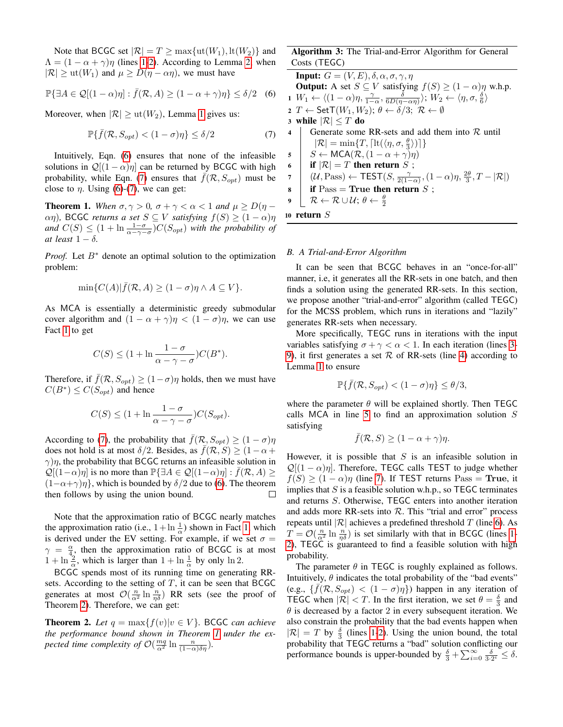Note that BCGC set  $|\mathcal{R}| = T \ge \max\{ut(W_1), \mathrm{lt}(W_2)\}\)$  and  $\Lambda = (1 - \alpha + \gamma)\eta$  (lines [1-](#page-2-9)[2\)](#page-2-10). According to Lemma [2,](#page-2-8) when  $|\mathcal{R}| \geq \text{ut}(W_1)$  and  $\mu \geq D(\eta - \alpha \eta)$ , we must have

$$
\mathbb{P}\{\exists A \in \mathcal{Q}[(1-\alpha)\eta] : \bar{f}(\mathcal{R}, A) \ge (1-\alpha+\gamma)\eta\} \le \delta/2 \quad (6)
$$

Moreover, when  $|\mathcal{R}| \geq \text{ut}(W_2)$ , Lemma [1](#page-2-7) gives us:

<span id="page-3-0"></span>
$$
\mathbb{P}\{\bar{f}(\mathcal{R}, S_{opt}) < (1 - \sigma)\eta\} \le \delta/2\tag{7}
$$

Intuitively, Eqn. [\(6\)](#page-2-11) ensures that none of the infeasible solutions in  $\mathcal{Q}[(1 - \alpha)\eta]$  can be returned by BCGC with high probability, while Eqn. [\(7\)](#page-3-0) ensures that  $f(\mathcal{R}, S_{opt})$  must be close to  $\eta$ . Using [\(6\)](#page-2-11)-[\(7\)](#page-3-0), we can get:

<span id="page-3-2"></span>**Theorem 1.** When  $\sigma, \gamma > 0$ ,  $\sigma + \gamma < \alpha < 1$  and  $\mu \ge D(\eta - \gamma)$  $αη$ ), BCGC *returns a set*  $S ⊆ V$  *satisfying*  $f(S) ≥ (1 − α)η$ *and*  $C(S) \leq (1 + \ln \frac{1-\sigma}{\alpha-\gamma-\sigma})C(S_{opt})$  *with the probability of at least*  $1 - \delta$ *.* 

*Proof.* Let  $B^*$  denote an optimal solution to the optimization problem:

$$
\min\{C(A)|\bar{f}(\mathcal{R},A)\geq (1-\sigma)\eta \wedge A\subseteq V\}.
$$

As MCA is essentially a deterministic greedy submodular cover algorithm and  $(1 - \alpha + \gamma)\eta < (1 - \sigma)\eta$ , we can use Fact [1](#page-2-1) to get

$$
C(S) \le (1 + \ln \frac{1 - \sigma}{\alpha - \gamma - \sigma}) C(B^*).
$$

Therefore, if  $\bar{f}(\mathcal{R}, S_{opt}) \geq (1 - \sigma)\eta$  holds, then we must have  $C(B^*) \leq C(S_{opt})$  and hence

$$
C(S) \le (1 + \ln \frac{1 - \sigma}{\alpha - \gamma - \sigma}) C(S_{opt}).
$$

According to [\(7\)](#page-3-0), the probability that  $\bar{f}(\mathcal{R}, S_{opt}) \geq (1 - \sigma)\eta$ does not hold is at most  $\delta/2$ . Besides, as  $f(\mathcal{R}, S) \geq (1 - \alpha + \delta)$  $\gamma$ )η, the probability that BCGC returns an infeasible solution in  $\mathcal{Q}[(1-\alpha)\eta]$  is no more than  $\mathbb{P}\{\exists A \in \mathcal{Q}[(1-\alpha)\eta] : f(\mathcal{R}, A) \geq 0\}$  $(1-\alpha+\gamma)\eta$ , which is bounded by  $\delta/2$  due to [\(6\)](#page-2-11). The theorem then follows by using the union bound then follows by using the union bound.

Note that the approximation ratio of BCGC nearly matches the approximation ratio (i.e.,  $1 + \ln \frac{1}{\alpha}$ ) shown in Fact [1,](#page-2-1) which is derived under the EV setting. For example, if we set  $\sigma =$  $\gamma = \frac{\alpha}{4}$ , then the approximation ratio of BCGC is at most  $1 + \ln \frac{2}{\alpha}$ , which is larger than  $1 + \ln \frac{1}{\alpha}$  by only  $\ln 2$ .

BCGC spends most of its running time on generating RRsets. According to the setting of  $T$ , it can be seen that BCGC generates at most  $\mathcal{O}\left(\frac{n}{\alpha^2} \ln \frac{n}{\eta \delta}\right)$  RR sets (see the proof of Theorem [2\)](#page-3-1). Therefore, we can get:

<span id="page-3-1"></span>**Theorem 2.** Let  $q = \max\{f(v)|v \in V\}$ . BCGC *can achieve the performance bound shown in Theorem [1](#page-3-2) under the expected time complexity of*  $\mathcal{O}(\frac{mq}{\alpha^2} \ln \frac{n}{(1-\alpha)\delta\eta})$ *.* 

## Algorithm 3: The Trial-and-Error Algorithm for General Costs (TEGC)

<span id="page-3-10"></span><span id="page-3-9"></span><span id="page-3-8"></span><span id="page-3-6"></span><span id="page-3-5"></span><span id="page-3-3"></span>**Input:**  $G = (V, E), \delta, \alpha, \sigma, \gamma, \eta$ **Output:** A set  $S \subseteq V$  satisfying  $f(S) \geq (1 - \alpha)\eta$  w.h.p. 1  $W_1 \leftarrow \langle (1 - \alpha)\eta, \frac{\gamma}{1 - \alpha}, \frac{\delta}{6D(\eta - \alpha\eta)} \rangle; W_2 \leftarrow \langle \eta, \sigma, \frac{\delta}{6} \rangle$ 2 T  $\leftarrow$  Set  $T(W_1, W_2)$ ;  $\theta \leftarrow \delta/3$ ;  $\mathcal{R} \leftarrow \emptyset$ 3 while  $|\mathcal{R}| \leq T$  do 4 cenerate some Generate some RR-sets and add them into  $R$  until  $|\mathcal{R}| = \min\{T, \lceil \operatorname{lt}(\langle \eta, \sigma, \frac{\theta}{3} \rangle) \rceil\}$ 5  $S \leftarrow \text{MCA}(\mathcal{R}, (1 - \alpha + \gamma)\eta)$ <br>6 if  $|\mathcal{R}| = T$  then return  $S$ . 6 if  $|\mathcal{R}| = T$  then return S;<br>7  $(\mathcal{U}, \text{Pass}) \leftarrow \text{TEST}(S, \frac{\gamma}{2(1-\gamma)}$ 7  $(\mathcal{U}, \text{Pass}) \leftarrow \text{TEST}(S, \frac{\gamma}{2(1-\alpha)}, (1-\alpha)\eta, \frac{2\theta}{3}, T - |\mathcal{R}|)$  $\mathbf{s}$  if Pass = True then return S;  $\mathfrak{g}~\bigsqcup~\mathcal{R}\leftarrow\mathcal{R}\cup\mathcal{U};\,\theta\leftarrow\frac{\theta}{2}$ <sup>10</sup> return S

## <span id="page-3-7"></span><span id="page-3-4"></span>*B. A Trial-and-Error Algorithm*

It can be seen that BCGC behaves in an "once-for-all" manner, i.e, it generates all the RR-sets in one batch, and then finds a solution using the generated RR-sets. In this section, we propose another "trial-and-error" algorithm (called TEGC) for the MCSS problem, which runs in iterations and "lazily" generates RR-sets when necessary.

More specifically, TEGC runs in iterations with the input variables satisfying  $\sigma + \gamma < \alpha < 1$ . In each iteration (lines [3-](#page-3-3) [9\)](#page-3-4), it first generates a set  $\mathcal R$  of RR-sets (line [4\)](#page-3-5) according to Lemma [1](#page-2-7) to ensure

$$
\mathbb{P}\{\bar{f}(\mathcal{R}, S_{opt}) < (1 - \sigma)\eta\} \le \theta/3,
$$

where the parameter  $\theta$  will be explained shortly. Then TEGC calls MCA in line [5](#page-3-6) to find an approximation solution  $S$ satisfying

$$
\bar{f}(\mathcal{R}, S) \ge (1 - \alpha + \gamma)\eta.
$$

However, it is possible that  $S$  is an infeasible solution in  $\mathcal{Q}[(1-\alpha)\eta]$ . Therefore, TEGC calls TEST to judge whether  $f(S) \ge (1 - \alpha)\eta$  (line [7\)](#page-3-7). If TEST returns Pass = True, it implies that  $S$  is a feasible solution w.h.p., so TEGC terminates and returns S. Otherwise, TEGC enters into another iteration and adds more RR-sets into  $R$ . This "trial and error" process repeats until | $\mathcal{R}$ | achieves a predefined threshold T (line [6\)](#page-3-8). As  $T = \mathcal{O}\left(\frac{n}{\alpha^2} \ln \frac{n}{\eta \delta}\right)$  is set similarly with that in BCGC (lines [1-](#page-3-9) [2\)](#page-3-10), TEGC is guaranteed to find a feasible solution with high probability.

The parameter  $\theta$  in TEGC is roughly explained as follows. Intuitively,  $\theta$  indicates the total probability of the "bad events" (e.g.,  $\{\bar{f}(\mathcal{R}, S_{opt}) < (1 - \sigma)\eta\})$  happen in any iteration of TEGC when  $|\mathcal{R}| < T$ . In the first iteration, we set  $\theta = \frac{\delta}{3}$  and  $\theta$  is decreased by a factor 2 in every subsequent iteration. We also constrain the probability that the bad events happen when  $|\mathcal{R}| = T$  by  $\frac{\delta}{3}$  (lines [1](#page-3-9)[-2\)](#page-3-10). Using the union bound, the total probability that TEGC returns a "bad" solution conflicting our performance bounds is upper-bounded by  $\frac{\delta}{3} + \sum_{i=0}^{\infty} \frac{\delta}{3 \cdot 2^{i}} \leq \delta$ .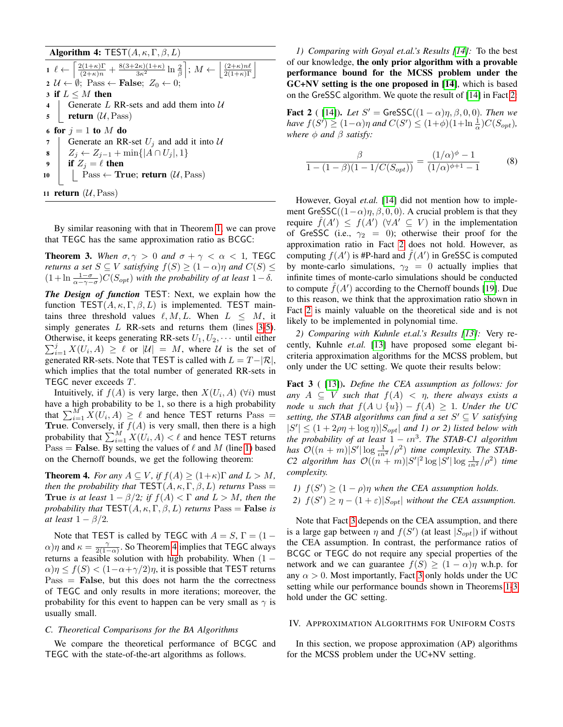Algorithm 4: TEST $(A, \kappa, \Gamma, \beta, L)$ 

<span id="page-4-3"></span><span id="page-4-2"></span><span id="page-4-1"></span>1  $\ell \leftarrow$ l  $\frac{2(1+\kappa)\Gamma}{(2+\kappa)n} + \frac{8(3+2\kappa)(1+\kappa)}{3\kappa^2} \ln \frac{2}{\beta}$  $; M \leftarrow$  $\left| \frac{(2+\kappa)n\ell}{2(1+\kappa)\Gamma} \right|$  $2 \mathcal{U} \leftarrow \emptyset$ ; Pass  $\leftarrow$  **False**;  $Z_0 \leftarrow 0$ ; 3 if  $L \leq M$  then<br>4 | Generate  $L$ 4 Generate L RR-sets and add them into  $U$ <br>5 **return** ( $U$ , Pass) return  $(\mathcal{U},\text{Pass})$ 6 for  $j = 1$  to M do 7 Generate an RR-set  $U_j$  and add it into  $U_1$ <br>8  $Z_i \leftarrow Z_{i-1} + \min\{|A \cap U_j|, 1\}$  $\begin{array}{c}\n\mathbf{8} \begin{array}{c}\nZ_j \leftarrow Z_{j-1} + \min\{|A \cap U_j|, 1\} \\
\mathbf{9} \end{array}\n\end{array}$ if  $Z_i = \ell$  then 10 | Pass ← True; return  $(\mathcal{U}, \text{Pass})$ 11 **return**  $(\mathcal{U}, \text{Pass})$ 

By similar reasoning with that in Theorem [1,](#page-3-2) we can prove that TEGC has the same approximation ratio as BCGC:

<span id="page-4-7"></span>**Theorem 3.** When  $\sigma, \gamma > 0$  and  $\sigma + \gamma < \alpha < 1$ , TEGC *returns a set*  $S \subseteq V$  *satisfying*  $f(S) \geq (1 - \alpha)\eta$  *and*  $C(S) \leq$  $(1 + \ln \frac{1-\sigma}{\alpha-\gamma-\sigma})C(S_{opt})$  *with the probability of at least*  $1-\delta$ *.* 

*The Design of function* TEST: Next, we explain how the function  $TEST(A, \kappa, \Gamma, \beta, L)$  is implemented. TEST maintains three threshold values  $\ell, M, L$ . When  $L \leq M$ , it simply generates  $L$  RR-sets and returns them (lines [3](#page-4-1)[-5\)](#page-4-2).  $\sum_{i=1}^{j} X(U_i, A) \geq \ell$  or  $|U| = M$ , where U is the set of Otherwise, it keeps generating RR-sets  $U_1, U_2, \cdots$  until either generated RR-sets. Note that TEST is called with  $L = T-|\mathcal{R}|$ , which implies that the total number of generated RR-sets in TEGC never exceeds T.

Intuitively, if  $f(A)$  is very large, then  $X(U_i, A)$  ( $\forall i$ ) must have a high probability to be 1, so there is a high probability that  $\sum_{i=1}^{M} X(U_i, A) \geq \ell$  and hence TEST returns Pass = True. Conversely, if  $f(A)$  is very small, then there is a high probability that  $\sum_{i=1}^{M} X(U_i, A) < \ell$  and hence TEST returns Pass = False. By setting the values of  $\ell$  and  $M$  (line [1\)](#page-4-3) based on the Chernoff bounds, we get the following theorem:

<span id="page-4-4"></span>**Theorem 4.** *For any*  $A \subseteq V$ *, if*  $f(A) \geq (1+\kappa)\Gamma$  *and*  $L > M$ *, then the probability that*  $\text{TEST}(A, \kappa, \Gamma, \beta, L)$  *returns*  $\text{Pass} =$ True *is at least*  $1 - \beta/2$ *; if*  $f(A) < \Gamma$  *and*  $L > M$ *, then the probability that*  $TEST(A, \kappa, \Gamma, \beta, L)$  *returns*  $Pass = False$  *is at least*  $1 - \beta/2$ *.* 

Note that TEST is called by TEGC with  $A = S$ ,  $\Gamma = (1 (\alpha)\eta$  and  $\kappa = \frac{\gamma}{2(1-\alpha)}$ . So Theorem [4](#page-4-4) implies that TEGC always returns a feasible solution with high probability. When  $(1 \alpha$ ) $\eta \le f(S) < (1-\alpha+\gamma/2)\eta$ , it is possible that TEST returns  $Pass = False$ , but this does not harm the the correctness of TEGC and only results in more iterations; moreover, the probability for this event to happen can be very small as  $\gamma$  is usually small.

## <span id="page-4-8"></span>*C. Theoretical Comparisons for the BA Algorithms*

We compare the theoretical performance of BCGC and TEGC with the state-of-the-art algorithms as follows.

*1) Comparing with Goyal et.al.'s Results [\[14\]](#page-9-4):* To the best of our knowledge, the only prior algorithm with a provable performance bound for the MCSS problem under the GC+NV setting is the one proposed in [\[14\]](#page-9-4), which is based on the GreSSC algorithm. We quote the result of [\[14\]](#page-9-4) in Fact [2:](#page-4-5)

**Fact 2** ( [\[14\]](#page-9-4)). *Let*  $S' = \text{GreSSC}((1 - \alpha)\eta, \beta, 0, 0)$ *. Then we have*  $f(S') \geq (1-\alpha)\eta$  *and*  $C(S') \leq (1+\phi)(1+\ln \frac{1}{\alpha})C(S_{opt})$ *, where*  $\phi$  *and*  $\beta$  *satisfy:* 

<span id="page-4-5"></span>
$$
\frac{\beta}{1 - (1 - \beta)(1 - 1/C(S_{opt}))} = \frac{(1/\alpha)^{\phi} - 1}{(1/\alpha)^{\phi + 1} - 1}
$$
(8)

However, Goyal *et.al.* [\[14\]](#page-9-4) did not mention how to implement GreSSC( $(1-\alpha)\eta, \beta, 0, 0$ ). A crucial problem is that they require  $\hat{f}(A') \leq f(A')$   $(\forall A' \subseteq V)$  in the implementation of GreSSC (i.e.,  $\gamma_2 = 0$ ); otherwise their proof for the approximation ratio in Fact [2](#page-4-5) does not hold. However, as computing  $f(A')$  is #P-hard and  $\hat{f}(A')$  in GreSSC is computed by monte-carlo simulations,  $\gamma_2 = 0$  actually implies that infinite times of monte-carlo simulations should be conducted to compute  $\hat{f}(A')$  according to the Chernoff bounds [\[19\]](#page-9-17). Due to this reason, we think that the approximation ratio shown in Fact [2](#page-4-5) is mainly valuable on the theoretical side and is not likely to be implemented in polynomial time.

*2) Comparing with Kuhnle et.al.'s Results [\[13\]](#page-9-11):* Very recently, Kuhnle *et.al.* [\[13\]](#page-9-11) have proposed some elegant bicriteria approximation algorithms for the MCSS problem, but only under the UC setting. We quote their results below:

Fact 3 ( [\[13\]](#page-9-11)). *Define the CEA assumption as follows: for* any  $A \subseteq V$  *such that*  $f(A) < \eta$ *, there always exists a node* u such that  $f(A \cup \{u\}) - f(A) \geq 1$ *. Under the UC setting, the STAB algorithms can find a set*  $S' \subseteq V$  *satisfying*  $|S'| \leq (1 + 2\rho\eta + \log \eta)|S_{opt}|$  *and 1) or 2) listed below with the probability of at least* <sup>1</sup> <sup>−</sup> ιn<sup>3</sup> *. The STAB-C1 algorithm has*  $\mathcal{O}((n+m)|S'|\log \frac{1}{\ln^2}/\rho^2)$  *time complexity. The STAB-C2* algorithm has  $O((n + m)|S'|^2 \log |S'| \log \frac{1}{n^2}/\rho^2)$  time *complexity.*

- *1)*  $f(S') \geq (1 \rho)\eta$  when the CEA assumption holds.
- <span id="page-4-6"></span>2)  $f(S') \ge \eta - (1 + \varepsilon)|S_{opt}|$  *without the CEA assumption.*

Note that Fact [3](#page-4-6) depends on the CEA assumption, and there is a large gap between  $\eta$  and  $f(S')$  (at least  $|S_{opt}|$ ) if without the CEA assumption. In contrast, the performance ratios of BCGC or TEGC do not require any special properties of the network and we can guarantee  $f(S) > (1 - \alpha)\eta$  w.h.p. for any  $\alpha > 0$ . Most importantly, Fact [3](#page-4-6) only holds under the UC setting while our performance bounds shown in Theorems [1-](#page-3-2)[3](#page-4-7) hold under the GC setting.

### <span id="page-4-0"></span>IV. APPROXIMATION ALGORITHMS FOR UNIFORM COSTS

In this section, we propose approximation (AP) algorithms for the MCSS problem under the UC+NV setting.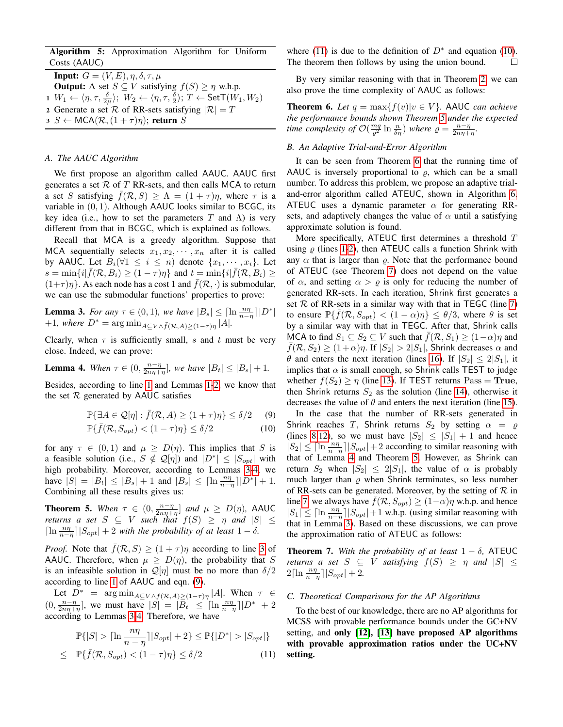Algorithm 5: Approximation Algorithm for Uniform Costs (AAUC)

<span id="page-5-0"></span>**Input:**  $G = (V, E), \eta, \delta, \tau, \mu$ **Output:** A set  $S \subseteq V$  satisfying  $f(S) \ge \eta$  w.h.p.  $1 W_1 \leftarrow \langle \eta, \tau, \frac{\delta}{2\mu} \rangle; W_2 \leftarrow \langle \eta, \tau, \frac{\delta}{2} \rangle; T \leftarrow \mathsf{SetT}(W_1, W_2)$ 2 Generate a set R of RR-sets satisfying  $|R| = T$  $3 S \leftarrow \text{MCA}(\mathcal{R}, (1+\tau)\eta);$  return S

#### <span id="page-5-3"></span>*A. The AAUC Algorithm*

We first propose an algorithm called AAUC. AAUC first generates a set  $R$  of  $T$  RR-sets, and then calls MCA to return a set S satisfying  $f(\mathcal{R}, S) \geq \Lambda = (1 + \tau)\eta$ , where  $\tau$  is a variable in  $(0, 1)$ . Although AAUC looks similar to BCGC, its key idea (i.e., how to set the parameters T and  $\Lambda$ ) is very different from that in BCGC, which is explained as follows.

Recall that MCA is a greedy algorithm. Suppose that MCA sequentially selects  $x_1, x_2, \dots, x_n$  after it is called by AAUC. Let  $B_i(\forall 1 \leq i \leq n)$  denote  $\{x_1, \dots, x_i\}$ . Let  $s = \min\{i | \bar{f}(\mathcal{R}, B_i) \geq (1 - \tau)\eta\}$  and  $t = \min\{i | \bar{f}(\mathcal{R}, B_i) \geq 1\}$  $(1+\tau)\eta$ . As each node has a cost 1 and  $\bar{f}(\mathcal{R},\cdot)$  is submodular, we can use the submodular functions' properties to prove:

<span id="page-5-1"></span>**Lemma 3.** *For any*  $\tau \in (0, 1)$ *, we have*  $|B_s| \leq \lceil \ln \frac{n\eta}{n-\eta} \rceil |D^*|$ <br>+1*, where*  $D^* = \arg \min_{A \subseteq V \wedge \bar{f}(\mathcal{R}, A) \geq (1-\tau)\eta} |A|$ *.* 

Clearly, when  $\tau$  is sufficiently small, s and t must be very close. Indeed, we can prove:

<span id="page-5-2"></span>**Lemma 4.** When 
$$
\tau \in (0, \frac{n-\eta}{2n\eta+\eta}],
$$
 we have  $|B_t| \leq |B_s| + 1$ .

Besides, according to line [1](#page-5-0) and Lemmas [1](#page-2-7)[-2,](#page-2-8) we know that the set  $R$  generated by AAUC satisfies

<span id="page-5-4"></span>
$$
\mathbb{P}\{\exists A \in \mathcal{Q}[\eta] : \bar{f}(\mathcal{R}, A) \ge (1+\tau)\eta\} \le \delta/2 \qquad (9)
$$

$$
\mathbb{P}\{\bar{f}(\mathcal{R}, S_{opt}) < (1 - \tau)\eta\} \le \delta/2\tag{10}
$$

for any  $\tau \in (0,1)$  and  $\mu \ge D(\eta)$ . This implies that S is a feasible solution (i.e.,  $S \notin \mathcal{Q}[\eta]$ ) and  $|D^*| \leq |S_{opt}|$  with high probability. Moreover, according to Lemmas [3-](#page-5-1)[4,](#page-5-2) we have  $|S| = |B_t| \leq |B_s| + 1$  and  $|B_s| \leq \left[ \ln \frac{n\eta}{n-\eta} \right] |D^*| + 1$ . Combining all these results gives us:

<span id="page-5-6"></span>**Theorem 5.** When  $\tau \in (0, \frac{n-\eta}{2n\eta+\eta}]$  and  $\mu \ge D(\eta)$ , AAUC *returns a set*  $S \subseteq V$  *such that*  $f(S) \geq \eta$  *and*  $|S| \leq$  $\lceil \ln \frac{n\eta}{n-\eta} \rceil |S_{opt}| + 2$  *with the probability of at least*  $1 - \delta$ *.* 

*Proof.* Note that  $\bar{f}(\mathcal{R}, S) \geq (1 + \tau)\eta$  according to line [3](#page-5-3) of AAUC. Therefore, when  $\mu \geq D(\eta)$ , the probability that S is an infeasible solution in  $\mathcal{Q}[\eta]$  must be no more than  $\delta/2$ according to line [1](#page-5-0) of AAUC and eqn. [\(9\)](#page-5-4).

Let  $D^*$  =  $\arg \min_{A \subseteq V \wedge \bar{f}(\mathcal{R}, A) \geq (1-\tau)\eta} |A|$ . When  $\tau \in$  $(0, \frac{n-\eta}{2n\eta+\eta}$ , we must have  $|S| = |\overline{B}_t| \leq |\ln \frac{n\eta}{n-\eta}| |D^*| + 2$ according to Lemmas [3-](#page-5-1)[4.](#page-5-2) Therefore, we have

<span id="page-5-5"></span>
$$
\mathbb{P}\{|S| > \lceil \ln \frac{n\eta}{n-\eta} \rceil |S_{opt}| + 2\} \le \mathbb{P}\{|D^*| > |S_{opt}|\}
$$
  
\n
$$
\le \mathbb{P}\{\bar{f}(\mathcal{R}, S_{opt}) < (1-\tau)\eta\} \le \delta/2
$$
 (11)

where [\(11\)](#page-5-5) is due to the definition of  $D^*$  and equation [\(10\)](#page-5-4). The theorem then follows by using the union bound.  $\Box$ 

By very similar reasoning with that in Theorem [2,](#page-3-1) we can also prove the time complexity of AAUC as follows:

<span id="page-5-7"></span>**Theorem 6.** Let  $q = \max\{f(v)|v \in V\}$ . AAUC *can achieve the performance bounds shown Theorem [5](#page-5-6) under the expected time complexity of*  $\mathcal{O}\left(\frac{mq}{\varrho^2}\ln\frac{n}{\delta\eta}\right)$  *where*  $\varrho = \frac{n-\eta}{2n\eta+\eta}$ *.* 

## *B. An Adaptive Trial-and-Error Algorithm*

It can be seen from Theorem [6](#page-5-7) that the running time of AAUC is inversely proportional to  $\rho$ , which can be a small number. To address this problem, we propose an adaptive trialand-error algorithm called ATEUC, shown in Algorithm [6.](#page-6-0) ATEUC uses a dynamic parameter  $\alpha$  for generating RRsets, and adaptively changes the value of  $\alpha$  until a satisfying approximate solution is found.

More specifically, ATEUC first determines a threshold T using  $\rho$  (lines [1](#page-6-1)[-2\)](#page-6-2), then ATEUC calls a function Shrink with any  $\alpha$  that is larger than  $\rho$ . Note that the performance bound of ATEUC (see Theorem [7\)](#page-5-8) does not depend on the value of  $\alpha$ , and setting  $\alpha > \varrho$  is only for reducing the number of generated RR-sets. In each iteration, Shrink first generates a set  $R$  of RR-sets in a similar way with that in TEGC (line [7\)](#page-6-3) to ensure  $\mathbb{P}\{\bar{f}(\mathcal{R}, S_{opt}) < (1 - \alpha)\eta\} \leq \theta/3$ , where  $\theta$  is set by a similar way with that in TEGC. After that, Shrink calls MCA to find  $S_1 \subseteq S_2 \subseteq V$  such that  $f(\mathcal{R}, S_1) \geq (1-\alpha)\eta$  and  $\bar{f}(\mathcal{R}, S_2) \ge (1+\alpha)\eta$ . If  $|S_2| > 2|S_1|$ , Shrink decreases  $\alpha$  and  $\theta$  and enters the next iteration (lines [16\)](#page-6-4). If  $|S_2| \leq 2|S_1|$ , it implies that  $\alpha$  is small enough, so Shrink calls TEST to judge whether  $f(S_2) \ge \eta$  (line [13\)](#page-6-5). If TEST returns Pass = True, then Shrink returns  $S_2$  as the solution (line [14\)](#page-6-6), otherwise it decreases the value of  $\theta$  and enters the next iteration (line [15\)](#page-6-7).

In the case that the number of RR-sets generated in Shrink reaches T, Shrink returns  $S_2$  by setting  $\alpha = \rho$ (lines [8,](#page-6-8)[12\)](#page-6-9), so we must have  $|S_2| \leq |S_1| + 1$  and hence  $|S_2| \leq \left[\ln \frac{n\eta}{n-\eta}\right] |S_{opt}| + 2$  according to similar reasoning with that of Lemma [4](#page-5-2) and Theorem [5.](#page-5-6) However, as Shrink can return  $S_2$  when  $|S_2| \leq 2|S_1|$ , the value of  $\alpha$  is probably much larger than  $\rho$  when Shrink terminates, so less number of RR-sets can be generated. Moreover, by the setting of  $\mathcal R$  in line [7,](#page-6-3) we always have  $\bar{f}(\mathcal{R}, S_{opt}) \geq (1-\alpha)\eta$  w.h.p. and hence  $|S_1| \leq \left[\ln \frac{n\eta}{n-\eta}\right] |S_{opt}| + 1$  w.h.p. (using similar reasoning with that in Lemma [3\)](#page-5-1). Based on these discussions, we can prove the approximation ratio of ATEUC as follows:

<span id="page-5-8"></span>**Theorem 7.** With the probability of at least  $1 - \delta$ , ATEUC *returns a set*  $S \subseteq V$  *satisfying*  $f(S) \geq \eta$  *and*  $|S| \leq$  $2\lceil \ln \frac{n\eta}{n-\eta} \rceil |S_{opt}| + 2.$ 

## <span id="page-5-9"></span>*C. Theoretical Comparisons for the AP Algorithms*

To the best of our knowledge, there are no AP algorithms for MCSS with provable performance bounds under the GC+NV setting, and only [\[12\]](#page-9-3), [\[13\]](#page-9-11) have proposed AP algorithms with provable approximation ratios under the UC+NV setting.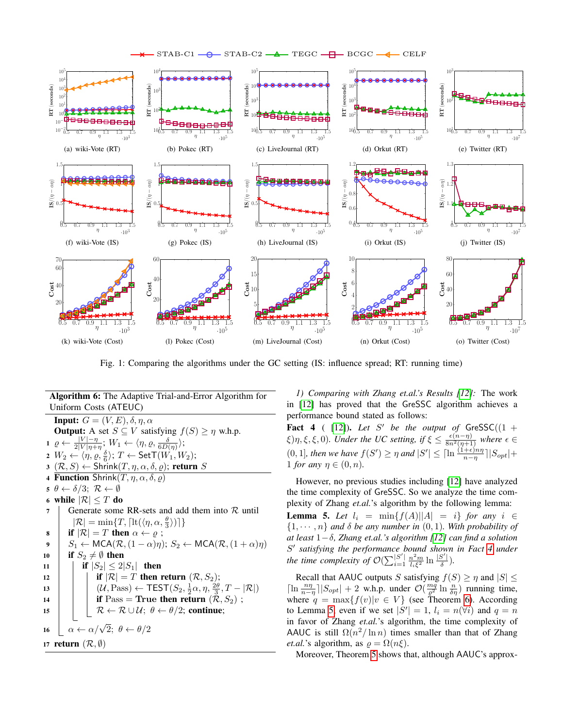

<span id="page-6-15"></span><span id="page-6-13"></span>

<span id="page-6-17"></span><span id="page-6-12"></span>Fig. 1: Comparing the algorithms under the GC setting (IS: influence spread; RT: running time)

<span id="page-6-9"></span><span id="page-6-8"></span><span id="page-6-3"></span><span id="page-6-2"></span><span id="page-6-1"></span>Algorithm 6: The Adaptive Trial-and-Error Algorithm for Uniform Costs (ATEUC) **Input:**  $G = (V, E), \delta, \eta, \alpha$ **Output:** A set  $S \subseteq V$  satisfying  $f(S) \ge \eta$  w.h.p.  $1 \varrho \leftarrow \frac{|V| - \eta}{2|V| \eta + \eta}; W_1 \leftarrow \langle \eta, \varrho, \frac{\delta}{6D(\eta)} \rangle;$  $2 \;\; W_2 \leftarrow \langle \eta, \varrho, \frac{\delta}{6} \rangle ; \; T \leftarrow {\sf SetT}(W_1,W_2);$  $3 (\mathcal{R}, S) \leftarrow$  Shrink $(T, \eta, \alpha, \delta, \varrho)$ ; return S 4 Function Shrink $(T, \eta, \alpha, \delta, \rho)$ 5  $\theta \leftarrow \delta/3$ ;  $\mathcal{R} \leftarrow \emptyset$ <br>6 while  $|\mathcal{R}| \leq T$  do 6 while  $|\mathcal{R}| \leq T$  do <br>7 | Generate some Generate some RR-sets and add them into  $R$  until  $|\mathcal{R}| = \min\{T, \lceil \operatorname{lt}(\langle \eta, \alpha, \frac{\theta}{3} \rangle) \rceil\}$ 8 **if**  $|\mathcal{R}| = T$  then  $\alpha \leftarrow \varrho$ ; 9  $S_1 \leftarrow \text{MCA}(\mathcal{R}, (1-\alpha)\eta); S_2 \leftarrow \text{MCA}(\mathcal{R}, (1+\alpha)\eta)$ <br>
10 if  $S_2 \neq \emptyset$  then 10 if  $S_2 \neq \emptyset$  then<br>
11 if  $|S_2| \leq 2$ if  $|S_2| \leq 2|S_1|$  then 12 if  $|\mathcal{R}| = T$  then return  $(\mathcal{R}, S_2)$ ;<br>  $(\mathcal{U}, \text{Pass}) \leftarrow \text{TEST}(S_2, \frac{1}{2}\alpha, \eta, \frac{2\theta}{2})$ 13  $\left|\left|\left|\left(\mathcal{U},\text{Pass}\right)\right|-\text{TEST}(S_2,\frac{1}{2}\alpha,\eta,\frac{2\theta}{3},T-|\mathcal{R}|)\right|\right|$ 14 **if** Pass = True then return  $(\mathcal{R}, S_2)$ ;<br>  $\mathcal{R} \leftarrow \mathcal{R} \cup \mathcal{U}; \ \theta \leftarrow \theta/2;$  continue;  $R \leftarrow R \cup \mathcal{U}; \theta \leftarrow \theta/2;$  continue; 16  $\left[\begin{array}{l}\n\alpha \leftarrow \alpha/\sqrt{2}; \theta \leftarrow \theta/2\n\end{array}\right]$ 17 return  $(\mathcal{R}, \emptyset)$ 

<span id="page-6-18"></span><span id="page-6-16"></span><span id="page-6-14"></span>*1) Comparing with Zhang et.al.'s Results [\[12\]](#page-9-3):* The work in [\[12\]](#page-9-3) has proved that the GreSSC algorithm achieves a performance bound stated as follows:

<span id="page-6-10"></span>Fact 4 ( [\[12\]](#page-9-3)). Let  $S'$  be the output of  $GresSC((1 +$  $(\xi(\xi), \xi, \xi, 0)$ *. Under the UC setting, if*  $\xi \leq \frac{\epsilon(n-\eta)}{8n^2(\eta+1)}$  *where*  $\epsilon \in$  $(0, 1]$ *, then we have*  $f(S') \ge \eta$  and  $|S'| \le \lceil \ln \frac{(1+\epsilon)n\eta}{n-\eta} \rceil |S_{opt}| +$ 1 *for any*  $\eta \in (0, n)$ .

However, no previous studies including [\[12\]](#page-9-3) have analyzed the time complexity of GreSSC. So we analyze the time complexity of Zhang *et.al.*'s algorithm by the following lemma:

<span id="page-6-11"></span>**Lemma 5.** *Let*  $l_i$  = min{ $f(A)||A|$  = *i*} *for any i* ∈  $\{1, \dots, n\}$  *and*  $\delta$  *be any number in*  $(0, 1)$ *. With probability of at least* 1−δ*, Zhang et.al.'s algorithm [\[12\]](#page-9-3) can find a solution* S 0 *satisfying the performance bound shown in Fact [4](#page-6-10) under the time complexity of*  $\mathcal{O}(\sum_{i=1}^{|S'|}$  $|S'| \frac{n^2 m}{l_i \xi^2} \ln \frac{|S'|}{\delta}$ δ )*.*

<span id="page-6-7"></span><span id="page-6-6"></span><span id="page-6-5"></span><span id="page-6-4"></span>Recall that AAUC outputs S satisfying  $f(S) \ge \eta$  and  $|S| \le$  $\left| \ln \frac{n\eta}{n-\eta} \right| |S_{opt}| + 2$  w.h.p. under  $\mathcal{O}(\frac{mq}{\varrho^2} \ln \frac{n}{\delta \eta})$  running time, where  $q = \max\{f(v)|v \in V\}$  (see Theorem [6\)](#page-5-7). According to Lemma [5,](#page-6-11) even if we set  $|S'| = 1$ ,  $l_i = n(\forall i)$  and  $q = n$ in favor of Zhang *et.al.*'s algorithm, the time complexity of AAUC is still  $\Omega(n^2/\ln n)$  times smaller than that of Zhang *et.al.*'s algorithm, as  $\rho = \Omega(n\xi)$ .

<span id="page-6-0"></span>Moreover, Theorem [5](#page-5-6) shows that, although AAUC's approx-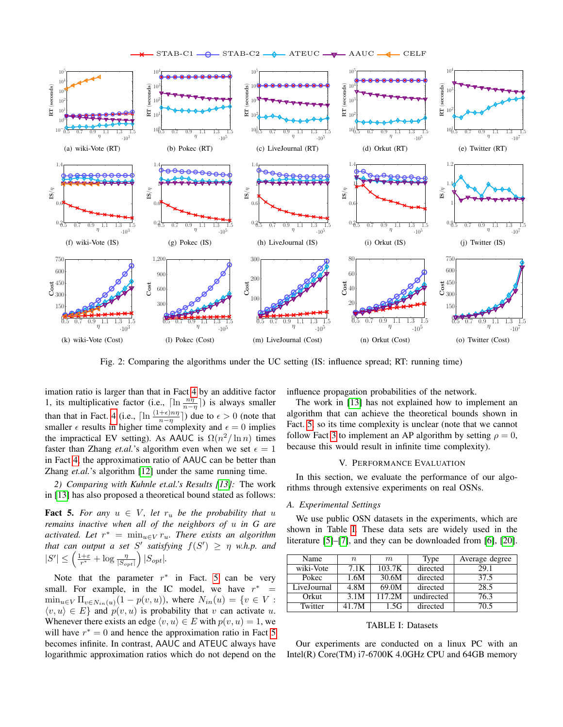



<span id="page-7-3"></span>Fig. 2: Comparing the algorithms under the UC setting (IS: influence spread; RT: running time)

imation ratio is larger than that in Fact [4](#page-6-10) by an additive factor 1, its multiplicative factor (i.e.,  $\left[\ln \frac{n\eta}{n-\eta}\right]$ ) is always smaller than that in Fact. [4](#page-6-10) (i.e.,  $\left[\ln \frac{(1+\epsilon)n\eta}{n-\eta}\right]$ ) due to  $\epsilon > 0$  (note that smaller  $\epsilon$  results in higher time complexity and  $\epsilon = 0$  implies the impractical EV setting). As AAUC is  $\Omega(n^2/\ln n)$  times faster than Zhang *et.al.*'s algorithm even when we set  $\epsilon = 1$ in Fact [4,](#page-6-10) the approximation ratio of AAUC can be better than Zhang *et.al.*'s algorithm [\[12\]](#page-9-3) under the same running time.

*2) Comparing with Kuhnle et.al.'s Results [\[13\]](#page-9-11):* The work in [\[13\]](#page-9-11) has also proposed a theoretical bound stated as follows:

<span id="page-7-1"></span>**Fact 5.** For any  $u \in V$ , let  $r_u$  be the probability that u *remains inactive when all of the neighbors of* u *in G are activated. Let*  $r^* = \min_{u \in V} r_u$ . There exists an algorithm *that can output a set*  $S'$  *satisfying*  $f(S') \geq \eta$  *w.h.p. and*  $|S'| \leq \left(\frac{1+\varepsilon}{r^*} + \log \frac{\eta}{|S_{opt}|}\right)|S_{opt}|.$ 

Note that the parameter  $r^*$  in Fact. [5](#page-7-1) can be very small. For example, in the IC model, we have  $r^* =$  $\min_{u \in V} \prod_{v \in N_{in}(u)} (1 - p(v, u)),$  where  $N_{in}(u) = \{v \in V :$  $\langle v, u \rangle \in E$  and  $p(v, u)$  is probability that v can activate u. Whenever there exists an edge  $\langle v, u \rangle \in E$  with  $p(v, u) = 1$ , we will have  $r^* = 0$  and hence the approximation ratio in Fact [5](#page-7-1) becomes infinite. In contrast, AAUC and ATEUC always have logarithmic approximation ratios which do not depend on the influence propagation probabilities of the network.

The work in [\[13\]](#page-9-11) has not explained how to implement an algorithm that can achieve the theoretical bounds shown in Fact. [5,](#page-7-1) so its time complexity is unclear (note that we cannot follow Fact [3](#page-4-6) to implement an AP algorithm by setting  $\rho = 0$ , because this would result in infinite time complexity).

#### V. PERFORMANCE EVALUATION

<span id="page-7-0"></span>In this section, we evaluate the performance of our algorithms through extensive experiments on real OSNs.

#### *A. Experimental Settings*

We use public OSN datasets in the experiments, which are shown in Table [I.](#page-7-2) These data sets are widely used in the literature [\[5\]](#page-9-15)–[\[7\]](#page-9-16), and they can be downloaded from [\[6\]](#page-9-10), [\[20\]](#page-9-18).

| Name        | $\it n$ | m      | Type       | Average degree |
|-------------|---------|--------|------------|----------------|
| wiki-Vote   | 7.1K    | 103.7K | directed   | 29.1           |
| Pokec       | 1.6M    | 30.6M  | directed   | 37.5           |
| LiveJournal | 4.8M    | 69.0M  | directed   | 28.5           |
| Orkut       | 3.1M    | 117.2M | undirected | 76.3           |
| Twitter     | 41.7M   | 1.5G   | directed   | 70.5           |

## <span id="page-7-2"></span>TABLE I: Datasets

Our experiments are conducted on a linux PC with an Intel(R) Core(TM) i7-6700K 4.0GHz CPU and 64GB memory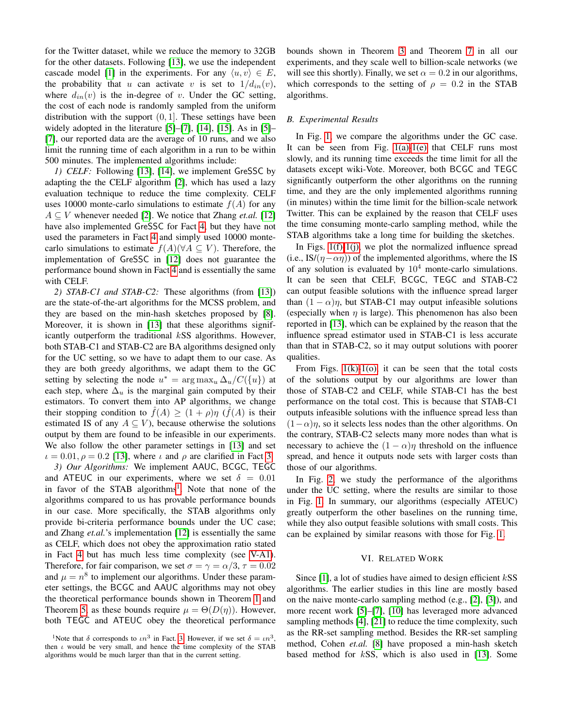for the Twitter dataset, while we reduce the memory to 32GB for the other datasets. Following [\[13\]](#page-9-11), we use the independent cascade model [\[1\]](#page-9-0) in the experiments. For any  $\langle u, v \rangle \in E$ , the probability that u can activate v is set to  $1/d_{in}(v)$ , where  $d_{in}(v)$  is the in-degree of v. Under the GC setting, the cost of each node is randomly sampled from the uniform distribution with the support  $(0, 1]$ . These settings have been widely adopted in the literature [\[5\]](#page-9-15)–[\[7\]](#page-9-16), [\[14\]](#page-9-4), [\[15\]](#page-9-6). As in [5]– [\[7\]](#page-9-16), our reported data are the average of 10 runs, and we also limit the running time of each algorithm in a run to be within 500 minutes. The implemented algorithms include:

<span id="page-8-2"></span>*1) CELF:* Following [\[13\]](#page-9-11), [\[14\]](#page-9-4), we implement GreSSC by adapting the the CELF algorithm [\[2\]](#page-9-1), which has used a lazy evaluation technique to reduce the time complexity. CELF uses 10000 monte-carlo simulations to estimate  $f(A)$  for any  $A \subseteq V$  whenever needed [\[2\]](#page-9-1). We notice that Zhang *et.al.* [\[12\]](#page-9-3) have also implemented GreSSC for Fact [4,](#page-6-10) but they have not used the parameters in Fact [4](#page-6-10) and simply used 10000 montecarlo simulations to estimate  $f(A)(\forall A \subseteq V)$ . Therefore, the implementation of GreSSC in [\[12\]](#page-9-3) does not guarantee the performance bound shown in Fact [4](#page-6-10) and is essentially the same with CELF.

*2) STAB-C1 and STAB-C2:* These algorithms (from [\[13\]](#page-9-11)) are the state-of-the-art algorithms for the MCSS problem, and they are based on the min-hash sketches proposed by [\[8\]](#page-9-19). Moreover, it is shown in [\[13\]](#page-9-11) that these algorithms significantly outperform the traditional kSS algorithms. However, both STAB-C1 and STAB-C2 are BA algorithms designed only for the UC setting, so we have to adapt them to our case. As they are both greedy algorithms, we adapt them to the GC setting by selecting the node  $u^* = \arg \max_u \Delta_u / C(\lbrace u \rbrace)$  at each step, where  $\Delta_u$  is the marginal gain computed by their estimators. To convert them into AP algorithms, we change their stopping condition to  $\hat{f}(A) \geq (1 + \rho)\eta$  ( $\hat{f}(A)$  is their estimated IS of any  $A \subseteq V$ ), because otherwise the solutions output by them are found to be infeasible in our experiments. We also follow the other parameter settings in [\[13\]](#page-9-11) and set  $\iota = 0.01, \rho = 0.2$  [\[13\]](#page-9-11), where  $\iota$  and  $\rho$  are clarified in Fact [3.](#page-4-6)

*3) Our Algorithms:* We implement AAUC, BCGC, TEGC and ATEUC in our experiments, where we set  $\delta = 0.01$ in favor of the STAB algorithms<sup>[1](#page-8-1)</sup>. Note that none of the algorithms compared to us has provable performance bounds in our case. More specifically, the STAB algorithms only provide bi-criteria performance bounds under the UC case; and Zhang *et.al.*'s implementation [\[12\]](#page-9-3) is essentially the same as CELF, which does not obey the approximation ratio stated in Fact [4](#page-6-10) but has much less time complexity (see [V-A1\)](#page-8-2). Therefore, for fair comparison, we set  $\sigma = \gamma = \alpha/3$ ,  $\tau = 0.02$ and  $\mu = n^8$  to implement our algorithms. Under these parameter settings, the BCGC and AAUC algorithms may not obey the theoretical performance bounds shown in Theorem [1](#page-3-2) and Theorem [5,](#page-5-6) as these bounds require  $\mu = \Theta(D(\eta))$ . However, both TEGC and ATEUC obey the theoretical performance bounds shown in Theorem [3](#page-4-7) and Theorem [7](#page-5-8) in all our experiments, and they scale well to billion-scale networks (we will see this shortly). Finally, we set  $\alpha = 0.2$  in our algorithms, which corresponds to the setting of  $\rho = 0.2$  in the STAB algorithms.

## *B. Experimental Results*

In Fig. [1,](#page-6-12) we compare the algorithms under the GC case. It can be seen from Fig.  $1(a)-1(e)$  $1(a)-1(e)$  that CELF runs most slowly, and its running time exceeds the time limit for all the datasets except wiki-Vote. Moreover, both BCGC and TEGC significantly outperform the other algorithms on the running time, and they are the only implemented algorithms running (in minutes) within the time limit for the billion-scale network Twitter. This can be explained by the reason that CELF uses the time consuming monte-carlo sampling method, while the STAB algorithms take a long time for building the sketches.

In Figs.  $1(f)-1(i)$ , we plot the normalized influence spread (i.e., IS/( $\eta$  –  $\alpha\eta$ )) of the implemented algorithms, where the IS of any solution is evaluated by  $10<sup>4</sup>$  monte-carlo simulations. It can be seen that CELF, BCGC, TEGC and STAB-C2 can output feasible solutions with the influence spread larger than  $(1 - \alpha)\eta$ , but STAB-C1 may output infeasible solutions (especially when  $\eta$  is large). This phenomenon has also been reported in [\[13\]](#page-9-11), which can be explained by the reason that the influence spread estimator used in STAB-C1 is less accurate than that in STAB-C2, so it may output solutions with poorer qualities.

From Figs.  $1(k)-1(0)$ , it can be seen that the total costs of the solutions output by our algorithms are lower than those of STAB-C2 and CELF, while STAB-C1 has the best performance on the total cost. This is because that STAB-C1 outputs infeasible solutions with the influence spread less than  $(1-\alpha)\eta$ , so it selects less nodes than the other algorithms. On the contrary, STAB-C2 selects many more nodes than what is necessary to achieve the  $(1 - \alpha)\eta$  threshold on the influence spread, and hence it outputs node sets with larger costs than those of our algorithms.

In Fig. [2,](#page-7-3) we study the performance of the algorithms under the UC setting, where the results are similar to those in Fig. [1.](#page-6-12) In summary, our algorithms (especially ATEUC) greatly outperform the other baselines on the running time, while they also output feasible solutions with small costs. This can be explained by similar reasons with those for Fig. [1.](#page-6-12)

## VI. RELATED WORK

<span id="page-8-0"></span>Since  $[1]$ , a lot of studies have aimed to design efficient  $kSS$ algorithms. The earlier studies in this line are mostly based on the naive monte-carlo sampling method (e.g., [\[2\]](#page-9-1), [\[3\]](#page-9-8)), and more recent work [\[5\]](#page-9-15)–[\[7\]](#page-9-16), [\[10\]](#page-9-5) has leveraged more advanced sampling methods [\[4\]](#page-9-9), [\[21\]](#page-9-20) to reduce the time complexity, such as the RR-set sampling method. Besides the RR-set sampling method, Cohen *et.al.* [\[8\]](#page-9-19) have proposed a min-hash sketch based method for kSS, which is also used in [\[13\]](#page-9-11). Some

<span id="page-8-1"></span><sup>&</sup>lt;sup>1</sup>Note that  $\delta$  corresponds to  $\iota n^3$  in Fact. [3.](#page-4-6) However, if we set  $\delta = \iota n^3$ , then  $\iota$  would be very small, and hence the time complexity of the STAB algorithms would be much larger than that in the current setting.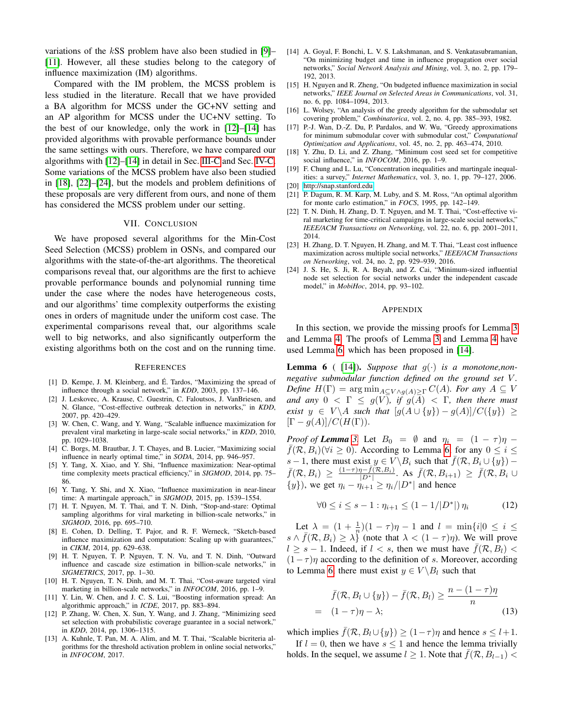variations of the kSS problem have also been studied in [\[9\]](#page-9-21)– [\[11\]](#page-9-2). However, all these studies belong to the category of influence maximization (IM) algorithms.

Compared with the IM problem, the MCSS problem is less studied in the literature. Recall that we have provided a BA algorithm for MCSS under the GC+NV setting and an AP algorithm for MCSS under the UC+NV setting. To the best of our knowledge, only the work in [\[12\]](#page-9-3)–[\[14\]](#page-9-4) has provided algorithms with provable performance bounds under the same settings with ours. Therefore, we have compared our algorithms with [\[12\]](#page-9-3)–[\[14\]](#page-9-4) in detail in Sec. [III-C](#page-4-8) and Sec. [IV-C.](#page-5-9) Some variations of the MCSS problem have also been studied in [\[18\]](#page-9-14), [\[22\]](#page-9-22)–[\[24\]](#page-9-23), but the models and problem definitions of these proposals are very different from ours, and none of them has considered the MCSS problem under our setting.

## VII. CONCLUSION

<span id="page-9-12"></span>We have proposed several algorithms for the Min-Cost Seed Selection (MCSS) problem in OSNs, and compared our algorithms with the state-of-the-art algorithms. The theoretical comparisons reveal that, our algorithms are the first to achieve provable performance bounds and polynomial running time under the case where the nodes have heterogeneous costs, and our algorithms' time complexity outperforms the existing ones in orders of magnitude under the uniform cost case. The experimental comparisons reveal that, our algorithms scale well to big networks, and also significantly outperform the existing algorithms both on the cost and on the running time.

#### **REFERENCES**

- <span id="page-9-0"></span>[1] D. Kempe, J. M. Kleinberg, and E. Tardos, "Maximizing the spread of ´ influence through a social network," in *KDD*, 2003, pp. 137–146.
- <span id="page-9-1"></span>[2] J. Leskovec, A. Krause, C. Guestrin, C. Faloutsos, J. VanBriesen, and N. Glance, "Cost-effective outbreak detection in networks," in *KDD*, 2007, pp. 420–429.
- <span id="page-9-8"></span>[3] W. Chen, C. Wang, and Y. Wang, "Scalable influence maximization for prevalent viral marketing in large-scale social networks," in *KDD*, 2010, pp. 1029–1038.
- <span id="page-9-9"></span>[4] C. Borgs, M. Brautbar, J. T. Chayes, and B. Lucier, "Maximizing social influence in nearly optimal time," in *SODA*, 2014, pp. 946–957.
- <span id="page-9-15"></span>[5] Y. Tang, X. Xiao, and Y. Shi, "Influence maximization: Near-optimal time complexity meets practical efficiency," in *SIGMOD*, 2014, pp. 75– 86.
- <span id="page-9-10"></span>[6] Y. Tang, Y. Shi, and X. Xiao, "Influence maximization in near-linear time: A martingale approach," in *SIGMOD*, 2015, pp. 1539–1554.
- <span id="page-9-16"></span>[7] H. T. Nguyen, M. T. Thai, and T. N. Dinh, "Stop-and-stare: Optimal sampling algorithms for viral marketing in billion-scale networks," in *SIGMOD*, 2016, pp. 695–710.
- <span id="page-9-19"></span>[8] E. Cohen, D. Delling, T. Pajor, and R. F. Werneck, "Sketch-based influence maximization and computation: Scaling up with guarantees," in *CIKM*, 2014, pp. 629–638.
- <span id="page-9-21"></span>[9] H. T. Nguyen, T. P. Nguyen, T. N. Vu, and T. N. Dinh, "Outward influence and cascade size estimation in billion-scale networks," in *SIGMETRICS*, 2017, pp. 1–30.
- <span id="page-9-5"></span>[10] H. T. Nguyen, T. N. Dinh, and M. T. Thai, "Cost-aware targeted viral marketing in billion-scale networks," in *INFOCOM*, 2016, pp. 1–9.
- <span id="page-9-2"></span>[11] Y. Lin, W. Chen, and J. C. S. Lui, "Boosting information spread: An algorithmic approach," in *ICDE*, 2017, pp. 883–894.
- <span id="page-9-3"></span>[12] P. Zhang, W. Chen, X. Sun, Y. Wang, and J. Zhang, "Minimizing seed set selection with probabilistic coverage guarantee in a social network," in *KDD*, 2014, pp. 1306–1315.
- <span id="page-9-11"></span>[13] A. Kuhnle, T. Pan, M. A. Alim, and M. T. Thai, "Scalable bicriteria algorithms for the threshold activation problem in online social networks," in *INFOCOM*, 2017.
- <span id="page-9-4"></span>[14] A. Goyal, F. Bonchi, L. V. S. Lakshmanan, and S. Venkatasubramanian, "On minimizing budget and time in influence propagation over social networks," *Social Network Analysis and Mining*, vol. 3, no. 2, pp. 179– 192, 2013.
- <span id="page-9-6"></span>[15] H. Nguyen and R. Zheng, "On budgeted influence maximization in social networks," *IEEE Journal on Selected Areas in Communications*, vol. 31, no. 6, pp. 1084–1094, 2013.
- <span id="page-9-7"></span>[16] L. Wolsey, "An analysis of the greedy algorithm for the submodular set covering problem," *Combinatorica*, vol. 2, no. 4, pp. 385–393, 1982.
- <span id="page-9-13"></span>[17] P.-J. Wan, D.-Z. Du, P. Pardalos, and W. Wu, "Greedy approximations for minimum submodular cover with submodular cost," *Computational Optimization and Applications*, vol. 45, no. 2, pp. 463–474, 2010.
- <span id="page-9-14"></span>[18] Y. Zhu, D. Li, and Z. Zhang, "Minimum cost seed set for competitive social influence," in *INFOCOM*, 2016, pp. 1–9.
- <span id="page-9-17"></span>[19] F. Chung and L. Lu, "Concentration inequalities and martingale inequalities: a survey," *Internet Mathematics*, vol. 3, no. 1, pp. 79–127, 2006. [20] [http://snap.stanford.edu.](http://snap.stanford.edu)
- <span id="page-9-18"></span>
- <span id="page-9-20"></span>[21] P. Dagum, R. M. Karp, M. Luby, and S. M. Ross, "An optimal algorithm for monte carlo estimation," in *FOCS*, 1995, pp. 142–149.
- <span id="page-9-22"></span>[22] T. N. Dinh, H. Zhang, D. T. Nguyen, and M. T. Thai, "Cost-effective viral marketing for time-critical campaigns in large-scale social networks," *IEEE/ACM Transactions on Networking*, vol. 22, no. 6, pp. 2001–2011, 2014.
- [23] H. Zhang, D. T. Nguyen, H. Zhang, and M. T. Thai, "Least cost influence maximization across multiple social networks," *IEEE/ACM Transactions on Networking*, vol. 24, no. 2, pp. 929–939, 2016.
- <span id="page-9-23"></span>[24] J. S. He, S. Ji, R. A. Beyah, and Z. Cai, "Minimum-sized influential node set selection for social networks under the independent cascade model," in *MobiHoc*, 2014, pp. 93–102.

#### APPENDIX

In this section, we provide the missing proofs for Lemma [3](#page-5-1) and Lemma [4.](#page-5-2) The proofs of Lemma [3](#page-5-1) and Lemma [4](#page-5-2) have used Lemma [6,](#page-9-24) which has been proposed in [\[14\]](#page-9-4).

<span id="page-9-24"></span>**Lemma 6** ( [\[14\]](#page-9-4)). *Suppose that*  $g(\cdot)$  *is a monotone,nonnegative submodular function defined on the ground set* V. *Define*  $H(\Gamma) = \arg \min_{A \subseteq V \wedge q(A) > \Gamma} C(A)$ *. For any*  $A \subseteq V$ *and any*  $0 \lt \Gamma \leq g(V)$ *, if*  $g(A) \lt \Gamma$ *, then there must exist*  $y \in V \backslash A$  *such that*  $[g(A \cup \{y\}) - g(A)]/C(\{y\}) \ge$  $[\Gamma - g(A)]/C(H(\Gamma)).$ 

*Proof of Lemma [3.](#page-5-1)* Let  $B_0 = \emptyset$  and  $\eta_i = (1 - \tau)\eta$  –  $\bar{f}(\mathcal{R}, B_i)(\forall i \geq 0)$ . According to Lemma [6,](#page-9-24) for any  $0 \leq i \leq$ s − 1, there must exist  $y \in V \setminus B_i$  such that  $\bar{f}(\mathcal{R}, B_i \cup \{y\})$  –  $\bar{f}(\mathcal{R},B_i) \geq \frac{(1-\tau)\eta-\bar{f}(\mathcal{R},B_i)}{|D^*|}$ . As  $\bar{f}(\mathcal{R},B_{i+1}) \geq \bar{f}(\mathcal{R},B_i \cup$  $\{y\}$ ), we get  $\eta_i - \eta_{i+1} > \eta_i / |D^*|$  and hence

<span id="page-9-25"></span>
$$
\forall 0 \le i \le s - 1 : \eta_{i+1} \le (1 - 1/|D^*|) \eta_i \tag{12}
$$

Let  $\lambda = (1 + \frac{1}{n})(1 - \tau)\eta - 1$  and  $l = \min\{i | 0 \le i \le \tau\}$  $s \wedge \bar{f}(\mathcal{R}, B_i) \geq \lambda \}$  (note that  $\lambda < (1 - \tau)\eta$ ). We will prove  $l \geq s - 1$ . Indeed, if  $l \leq s$ , then we must have  $\bar{f}(\mathcal{R}, B_l)$  $(1-\tau)\eta$  according to the definition of s. Moreover, according to Lemma [6,](#page-9-24) there must exist  $y \in V \backslash B_l$  such that

<span id="page-9-26"></span>
$$
\bar{f}(\mathcal{R}, B_l \cup \{y\}) - \bar{f}(\mathcal{R}, B_l) \ge \frac{n - (1 - \tau)\eta}{n}
$$
\n
$$
= (1 - \tau)\eta - \lambda; \tag{13}
$$

which implies  $\bar{f}(\mathcal{R}, B_l \cup \{y\}) \geq (1 - \tau)\eta$  and hence  $s \leq l+1$ .

If  $l = 0$ , then we have  $s \le 1$  and hence the lemma trivially holds. In the sequel, we assume  $l \geq 1$ . Note that  $\bar{f}(\mathcal{R}, B_{l-1})$  <